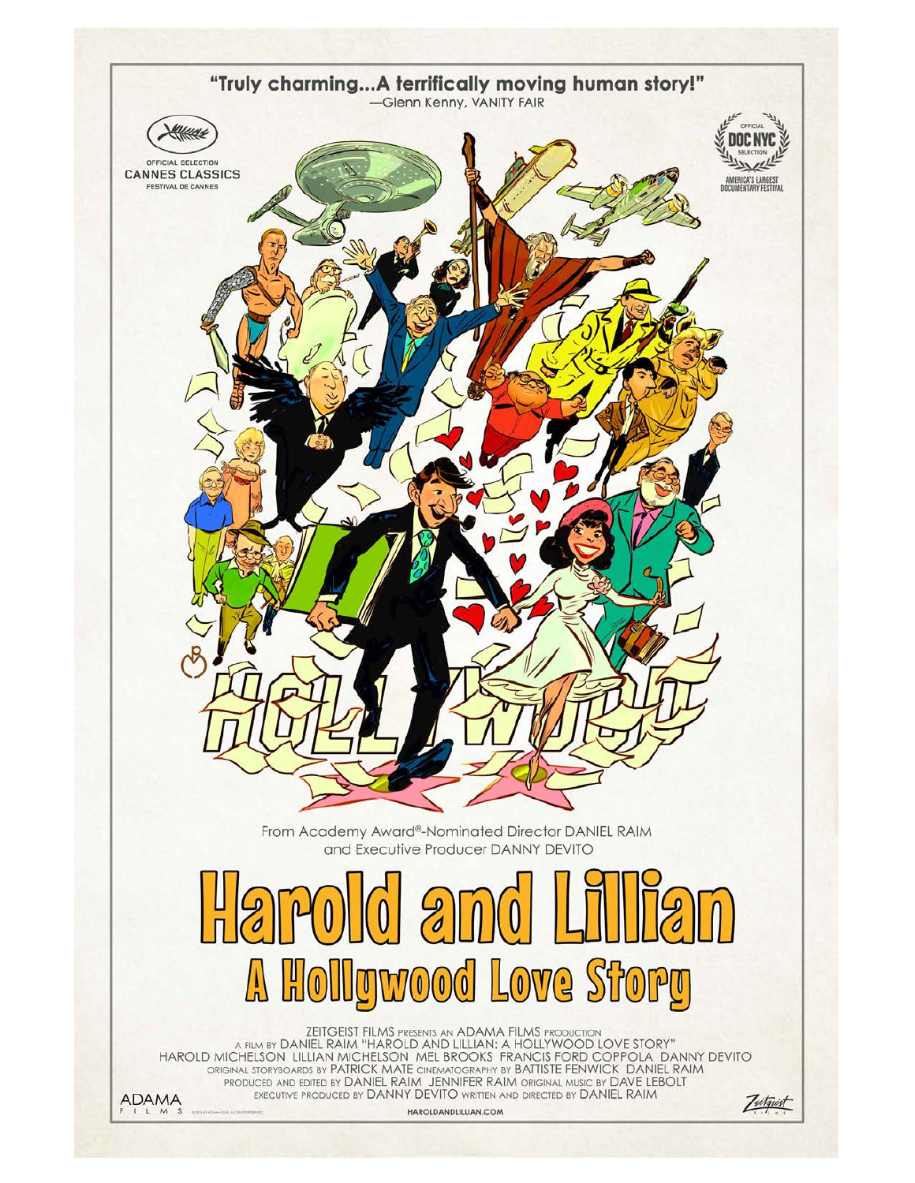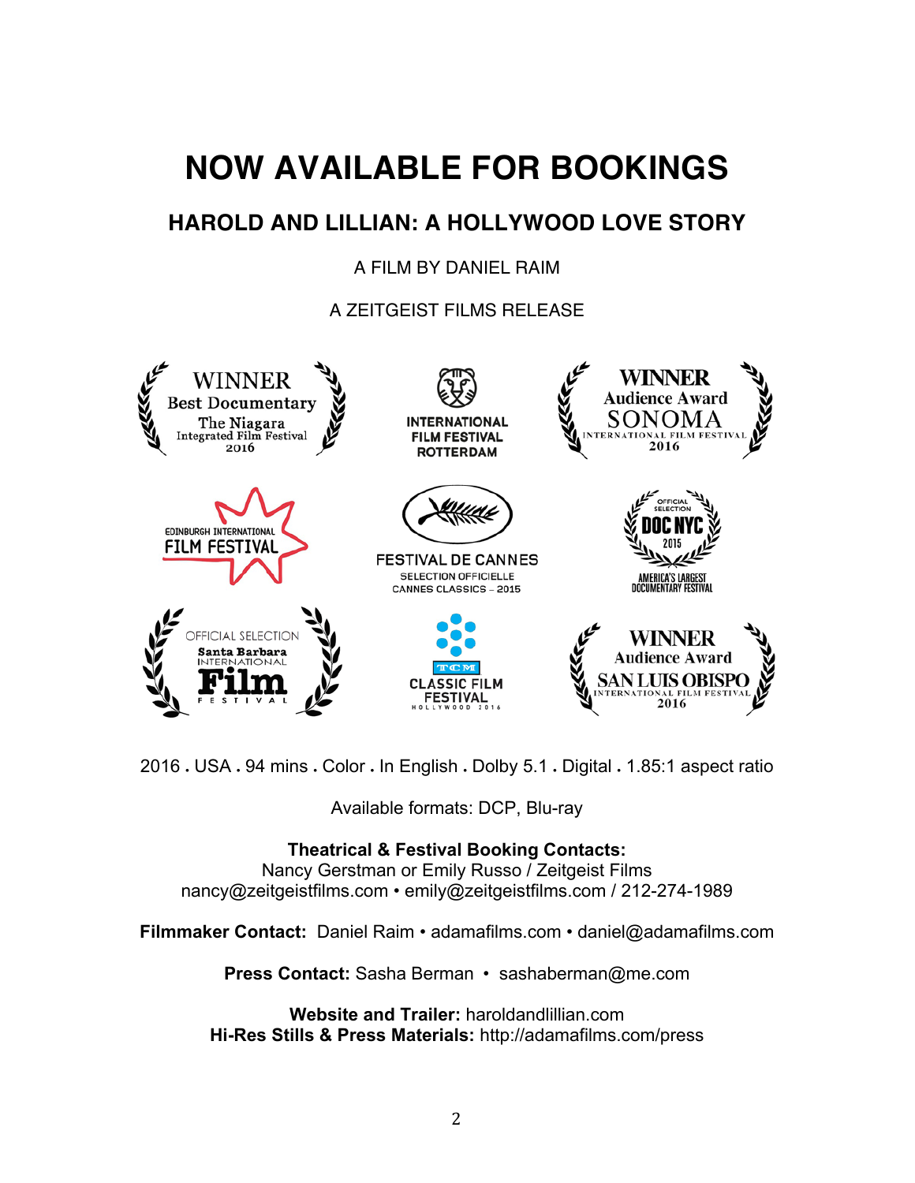# **NOW AVAILABLE FOR BOOKINGS**

## **HAROLD AND LILLIAN: A HOLLYWOOD LOVE STORY**

## A FILM BY DANIEL RAIM

A ZEITGEIST FILMS RELEASE



2016 • USA • 94 mins • Color • In English • Dolby 5.1 • Digital • 1.85:1 aspect ratio

Available formats: DCP, Blu-ray

## **Theatrical & Festival Booking Contacts:**

Nancy Gerstman or Emily Russo / Zeitgeist Films nancy@zeitgeistfilms.com • emily@zeitgeistfilms.com / 212-274-1989

**Filmmaker Contact:** Daniel Raim • adamafilms.com • daniel@adamafilms.com

**Press Contact:** Sasha Berman • sashaberman@me.com

**Website and Trailer:** haroldandlillian.com **Hi-Res Stills & Press Materials:** http://adamafilms.com/press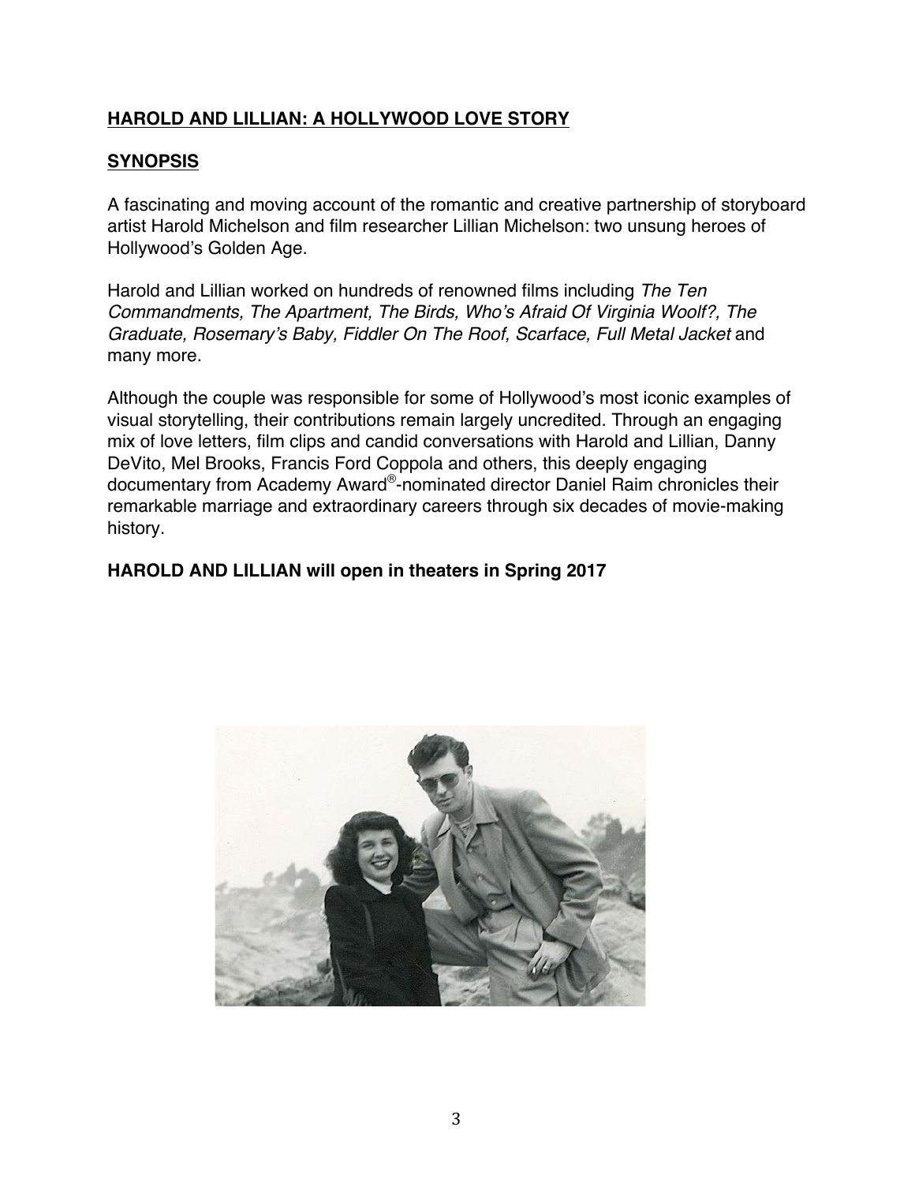#### **SYNOPSIS**

A fascinating and moving account of the romantic and creative partnership of storyboard artist Harold Michelson and film researcher Lillian Michelson: two unsung heroes of Hollywood's Golden Age.

Harold and Lillian worked on hundreds of renowned films including *The Ten Commandments, The Apartment, The Birds, Who's Afraid Of Virginia Woolf?, The Graduate, Rosemary's Baby, Fiddler On The Roof, Scarface, Full Metal Jacket* and many more.

Although the couple was responsible for some of Hollywood's most iconic examples of visual storytelling, their contributions remain largely uncredited. Through an engaging mix of love letters, film clips and candid conversations with Harold and Lillian, Danny DeVito, Mel Brooks, Francis Ford Coppola and others, this deeply engaging documentary from Academy Award®-nominated director Daniel Raim chronicles their remarkable marriage and extraordinary careers through six decades of movie-making history.

#### **HAROLD AND LILLIAN will open in theaters in Spring 2017**

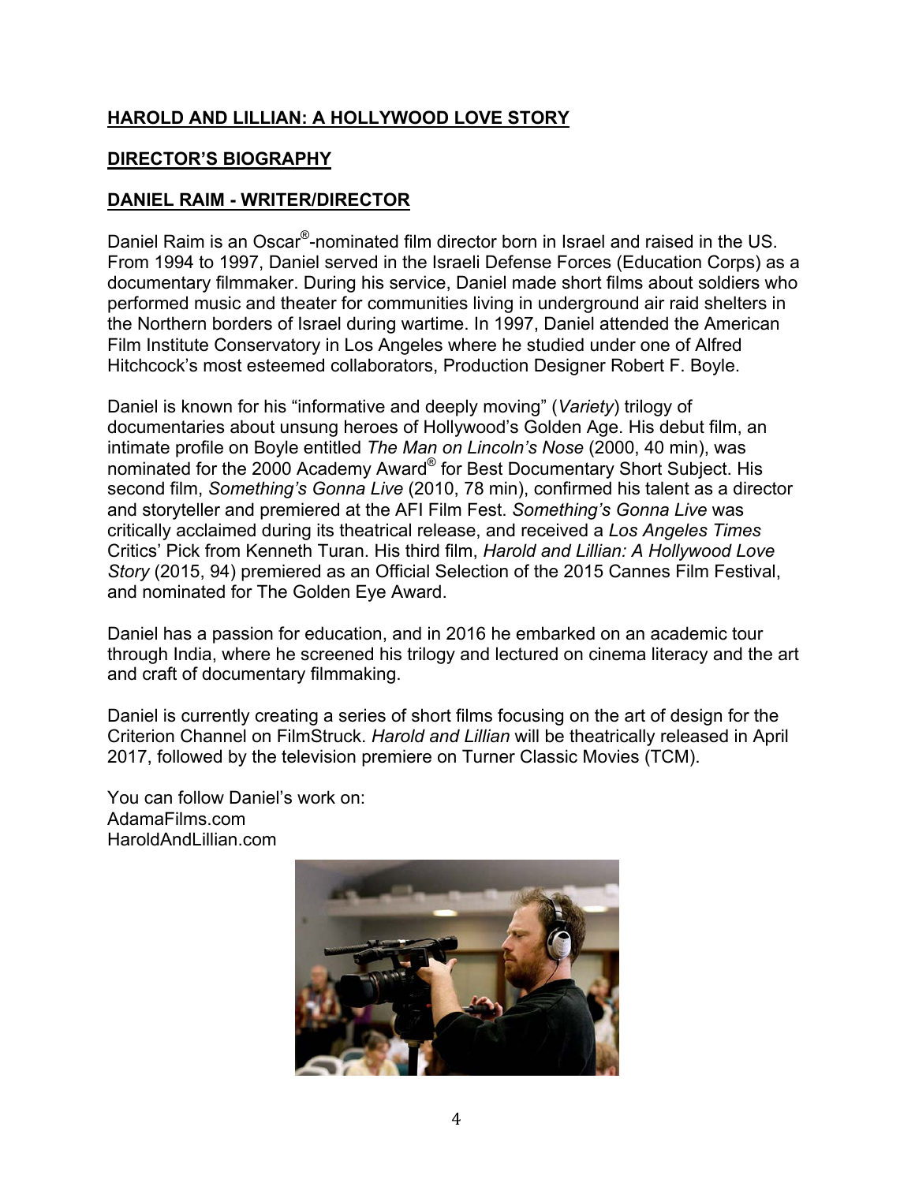## **DIRECTOR'S BIOGRAPHY**

## **DANIEL RAIM - WRITER/DIRECTOR**

Daniel Raim is an Oscar®-nominated film director born in Israel and raised in the US. From 1994 to 1997, Daniel served in the Israeli Defense Forces (Education Corps) as a documentary filmmaker. During his service, Daniel made short films about soldiers who performed music and theater for communities living in underground air raid shelters in the Northern borders of Israel during wartime. In 1997, Daniel attended the American Film Institute Conservatory in Los Angeles where he studied under one of Alfred Hitchcock's most esteemed collaborators, Production Designer Robert F. Boyle.

Daniel is known for his "informative and deeply moving" (*Variety*) trilogy of documentaries about unsung heroes of Hollywood's Golden Age. His debut film, an intimate profile on Boyle entitled *The Man on Lincoln's Nose* (2000, 40 min), was nominated for the 2000 Academy Award® for Best Documentary Short Subject. His second film, *Something's Gonna Live* (2010, 78 min), confirmed his talent as a director and storyteller and premiered at the AFI Film Fest. *Something's Gonna Live* was critically acclaimed during its theatrical release, and received a *Los Angeles Times* Critics' Pick from Kenneth Turan. His third film, *Harold and Lillian: A Hollywood Love Story* (2015, 94) premiered as an Official Selection of the 2015 Cannes Film Festival, and nominated for The Golden Eye Award.

Daniel has a passion for education, and in 2016 he embarked on an academic tour through India, where he screened his trilogy and lectured on cinema literacy and the art and craft of documentary filmmaking.

Daniel is currently creating a series of short films focusing on the art of design for the Criterion Channel on FilmStruck. *Harold and Lillian* will be theatrically released in April 2017, followed by the television premiere on Turner Classic Movies (TCM).

You can follow Daniel's work on: AdamaFilms.com HaroldAndLillian.com

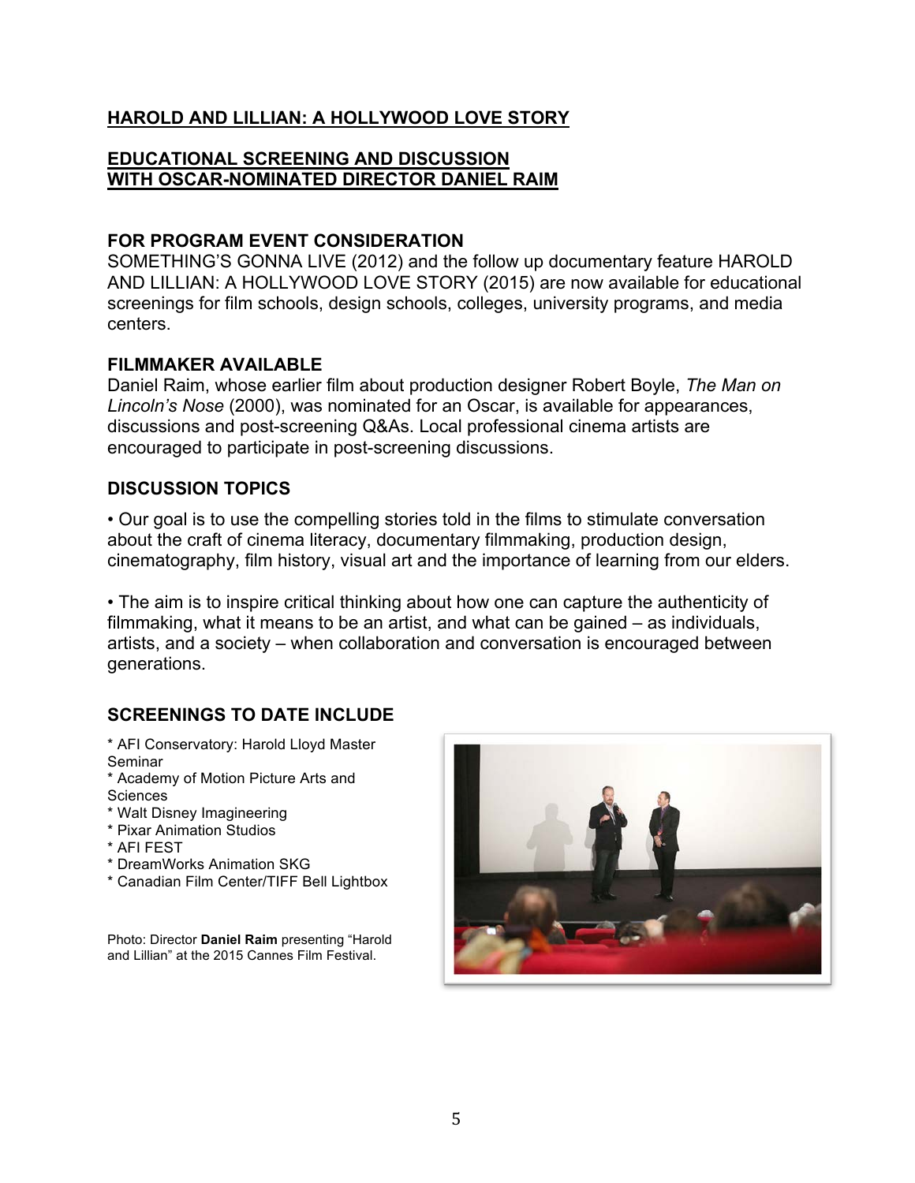#### **EDUCATIONAL SCREENING AND DISCUSSION WITH OSCAR-NOMINATED DIRECTOR DANIEL RAIM**

#### **FOR PROGRAM EVENT CONSIDERATION**

SOMETHING'S GONNA LIVE (2012) and the follow up documentary feature HAROLD AND LILLIAN: A HOLLYWOOD LOVE STORY (2015) are now available for educational screenings for film schools, design schools, colleges, university programs, and media centers.

#### **FILMMAKER AVAILABLE**

Daniel Raim, whose earlier film about production designer Robert Boyle, *The Man on Lincoln's Nose* (2000), was nominated for an Oscar, is available for appearances, discussions and post-screening Q&As. Local professional cinema artists are encouraged to participate in post-screening discussions.

#### **DISCUSSION TOPICS**

• Our goal is to use the compelling stories told in the films to stimulate conversation about the craft of cinema literacy, documentary filmmaking, production design, cinematography, film history, visual art and the importance of learning from our elders.

• The aim is to inspire critical thinking about how one can capture the authenticity of filmmaking, what it means to be an artist, and what can be gained – as individuals, artists, and a society – when collaboration and conversation is encouraged between generations.

## **SCREENINGS TO DATE INCLUDE**

- \* AFI Conservatory: Harold Lloyd Master Seminar
- \* Academy of Motion Picture Arts and **Sciences**
- \* Walt Disney Imagineering
- \* Pixar Animation Studios
- \* AFI FEST
- \* DreamWorks Animation SKG
- \* Canadian Film Center/TIFF Bell Lightbox

Photo: Director **Daniel Raim** presenting "Harold and Lillian" at the 2015 Cannes Film Festival.

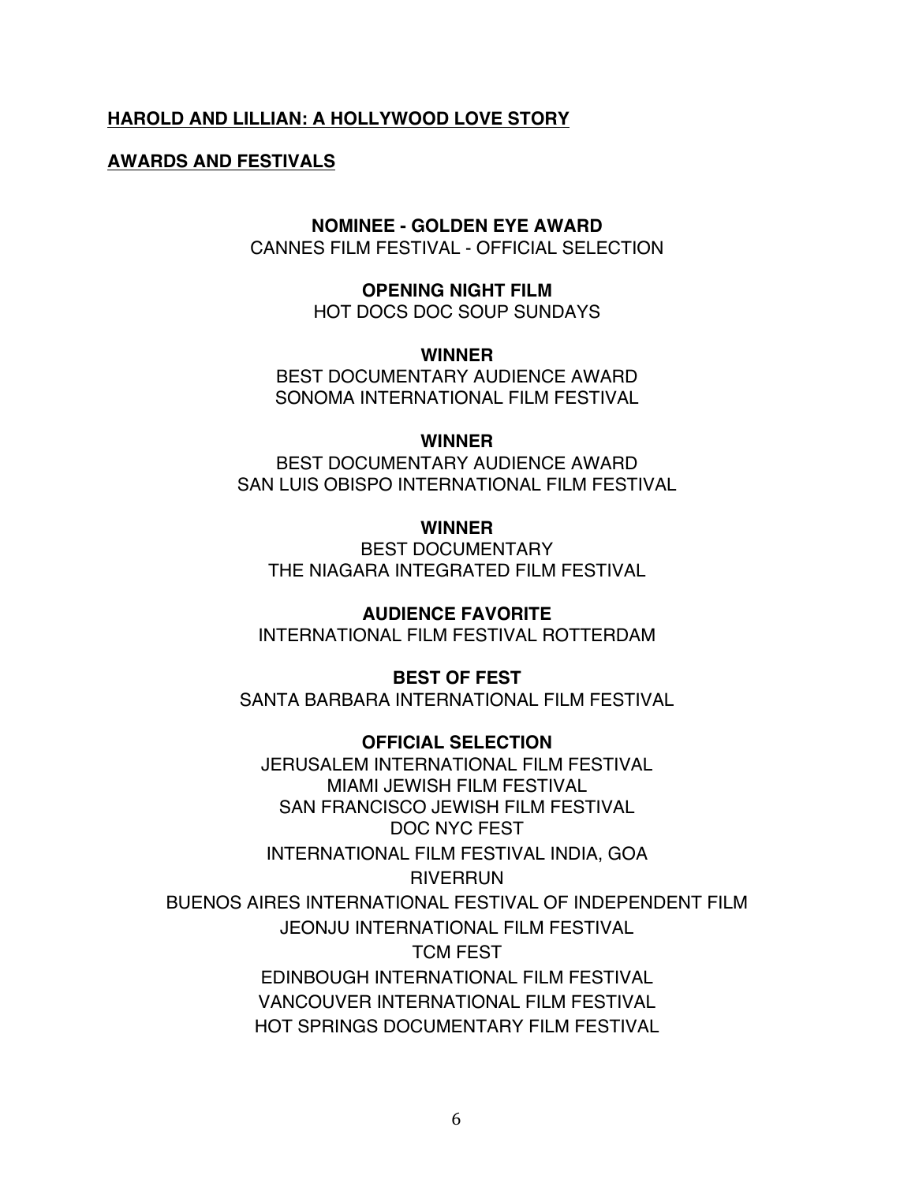#### **AWARDS AND FESTIVALS**

#### **NOMINEE - GOLDEN EYE AWARD**

CANNES FILM FESTIVAL - OFFICIAL SELECTION

**OPENING NIGHT FILM** HOT DOCS DOC SOUP SUNDAYS

**WINNER** 

BEST DOCUMENTARY AUDIENCE AWARD SONOMA INTERNATIONAL FILM FESTIVAL

#### **WINNER**

BEST DOCUMENTARY AUDIENCE AWARD SAN LUIS OBISPO INTERNATIONAL FILM FESTIVAL

**WINNER** 

BEST DOCUMENTARY THE NIAGARA INTEGRATED FILM FESTIVAL

**AUDIENCE FAVORITE**

INTERNATIONAL FILM FESTIVAL ROTTERDAM

**BEST OF FEST**

SANTA BARBARA INTERNATIONAL FILM FESTIVAL

**OFFICIAL SELECTION** JERUSALEM INTERNATIONAL FILM FESTIVAL MIAMI JEWISH FILM FESTIVAL SAN FRANCISCO JEWISH FILM FESTIVAL DOC NYC FEST INTERNATIONAL FILM FESTIVAL INDIA, GOA **RIVERRUN** BUENOS AIRES INTERNATIONAL FESTIVAL OF INDEPENDENT FILM JEONJU INTERNATIONAL FILM FESTIVAL TCM FEST EDINBOUGH INTERNATIONAL FILM FESTIVAL VANCOUVER INTERNATIONAL FILM FESTIVAL HOT SPRINGS DOCUMENTARY FILM FESTIVAL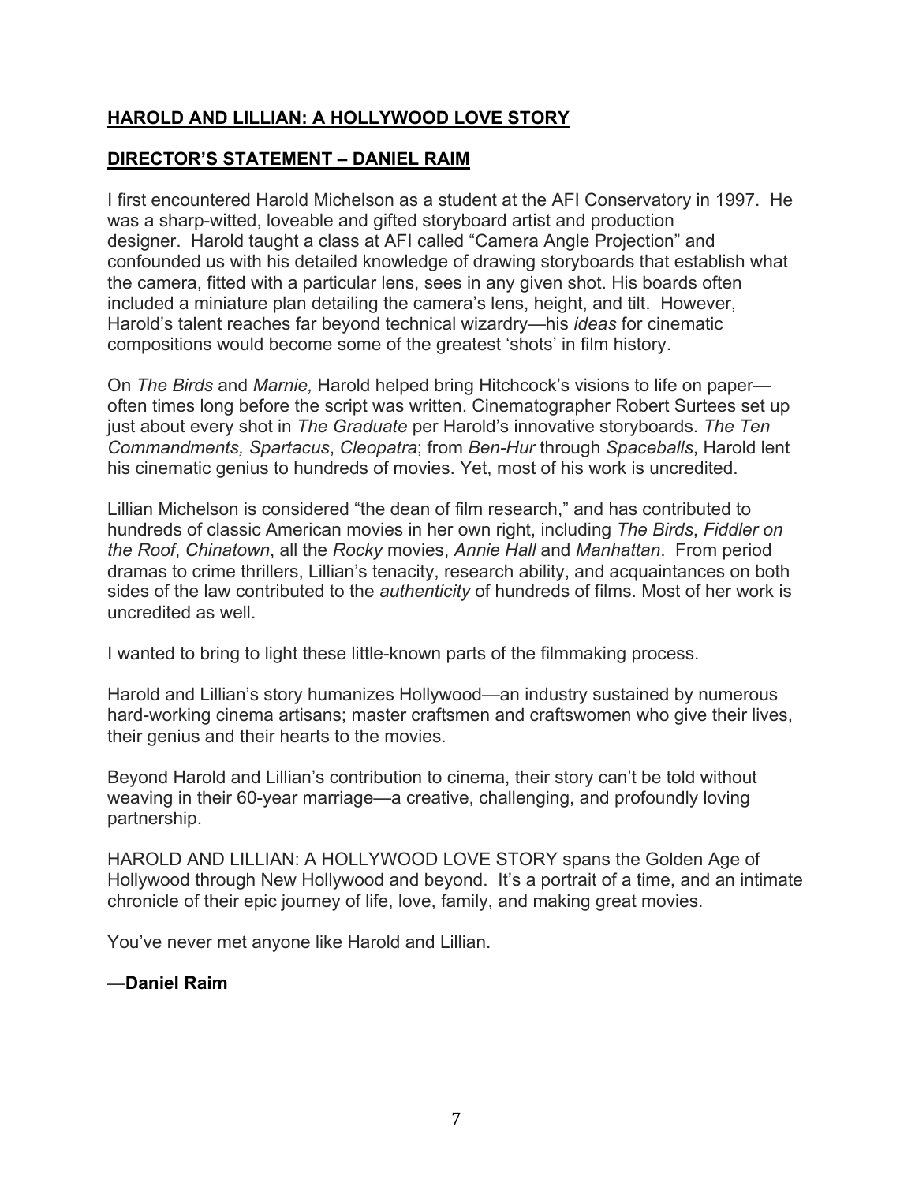## **DIRECTOR'S STATEMENT – DANIEL RAIM**

I first encountered Harold Michelson as a student at the AFI Conservatory in 1997. He was a sharp-witted, loveable and gifted storyboard artist and production designer. Harold taught a class at AFI called "Camera Angle Projection" and confounded us with his detailed knowledge of drawing storyboards that establish what the camera, fitted with a particular lens, sees in any given shot. His boards often included a miniature plan detailing the camera's lens, height, and tilt. However, Harold's talent reaches far beyond technical wizardry—his *ideas* for cinematic compositions would become some of the greatest 'shots' in film history.

On *The Birds* and *Marnie,* Harold helped bring Hitchcock's visions to life on paper often times long before the script was written. Cinematographer Robert Surtees set up just about every shot in *The Graduate* per Harold's innovative storyboards. *The Ten Commandments, Spartacus*, *Cleopatra*; from *Ben-Hur* through *Spaceballs*, Harold lent his cinematic genius to hundreds of movies. Yet, most of his work is uncredited.

Lillian Michelson is considered "the dean of film research," and has contributed to hundreds of classic American movies in her own right, including *The Birds*, *Fiddler on the Roof*, *Chinatown*, all the *Rocky* movies, *Annie Hall* and *Manhattan*. From period dramas to crime thrillers, Lillian's tenacity, research ability, and acquaintances on both sides of the law contributed to the *authenticity* of hundreds of films. Most of her work is uncredited as well.

I wanted to bring to light these little-known parts of the filmmaking process.

Harold and Lillian's story humanizes Hollywood—an industry sustained by numerous hard-working cinema artisans; master craftsmen and craftswomen who give their lives, their genius and their hearts to the movies.

Beyond Harold and Lillian's contribution to cinema, their story can't be told without weaving in their 60-year marriage—a creative, challenging, and profoundly loving partnership.

HAROLD AND LILLIAN: A HOLLYWOOD LOVE STORY spans the Golden Age of Hollywood through New Hollywood and beyond. It's a portrait of a time, and an intimate chronicle of their epic journey of life, love, family, and making great movies.

You've never met anyone like Harold and Lillian.

#### —**Daniel Raim**